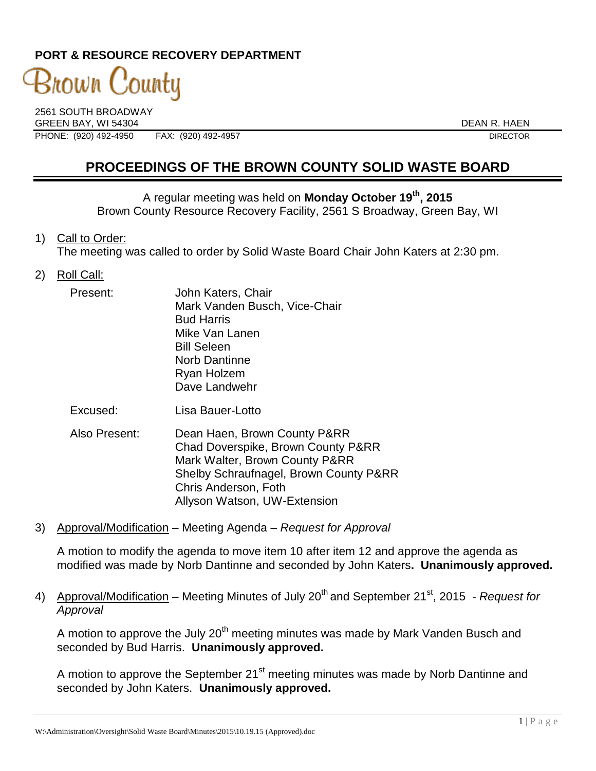### **PORT & RESOURCE RECOVERY DEPARTMENT**

# 3nown 'ountu

2561 SOUTH BROADWAY GREEN BAY. WI 54304 DEAN R. HAEN PHONE: (920) 492-4950 FAX: (920) 492-4957 DIRECTOR

## **PROCEEDINGS OF THE BROWN COUNTY SOLID WASTE BOARD**

A regular meeting was held on **Monday October 19th, 2015** Brown County Resource Recovery Facility, 2561 S Broadway, Green Bay, WI

1) Call to Order:

The meeting was called to order by Solid Waste Board Chair John Katers at 2:30 pm.

2) Roll Call:

| Present: | John Katers, Chair            |
|----------|-------------------------------|
|          | Mark Vanden Busch, Vice-Chair |
|          | <b>Bud Harris</b>             |
|          | Mike Van Lanen                |
|          | <b>Bill Seleen</b>            |
|          | <b>Norb Dantinne</b>          |
|          | Ryan Holzem                   |
|          | Dave Landwehr                 |
|          |                               |

- Excused: Lisa Bauer-Lotto
- Also Present: Dean Haen, Brown County P&RR Chad Doverspike, Brown County P&RR Mark Walter, Brown County P&RR Shelby Schraufnagel, Brown County P&RR Chris Anderson, Foth Allyson Watson, UW-Extension
- 3) Approval/Modification Meeting Agenda *Request for Approval*

A motion to modify the agenda to move item 10 after item 12 and approve the agenda as modified was made by Norb Dantinne and seconded by John Katers**. Unanimously approved.**

4) Approval/Modification – Meeting Minutes of July 20<sup>th</sup> and September 21<sup>st</sup>, 2015 - *Request for Approval*

A motion to approve the July  $20<sup>th</sup>$  meeting minutes was made by Mark Vanden Busch and seconded by Bud Harris. **Unanimously approved.**

A motion to approve the September 21<sup>st</sup> meeting minutes was made by Norb Dantinne and seconded by John Katers. **Unanimously approved.**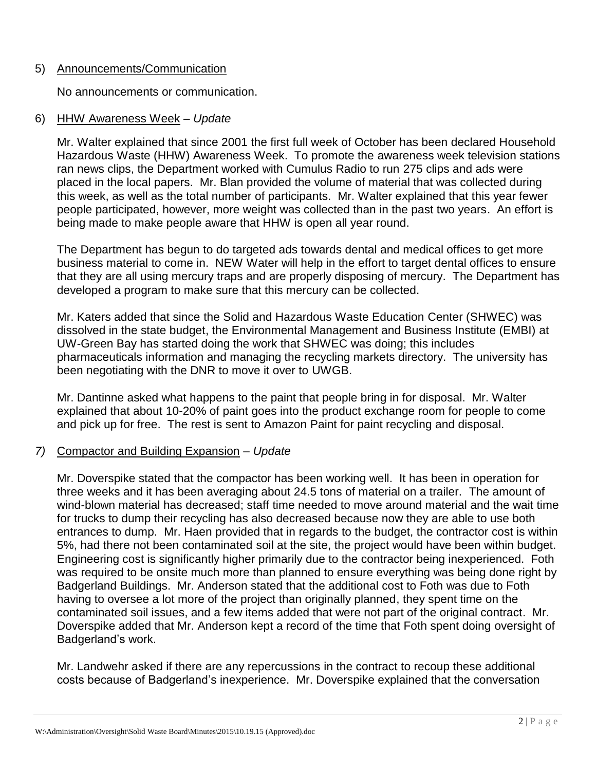#### 5) Announcements/Communication

No announcements or communication.

#### 6) HHW Awareness Week – *Update*

Mr. Walter explained that since 2001 the first full week of October has been declared Household Hazardous Waste (HHW) Awareness Week. To promote the awareness week television stations ran news clips, the Department worked with Cumulus Radio to run 275 clips and ads were placed in the local papers. Mr. Blan provided the volume of material that was collected during this week, as well as the total number of participants. Mr. Walter explained that this year fewer people participated, however, more weight was collected than in the past two years. An effort is being made to make people aware that HHW is open all year round.

The Department has begun to do targeted ads towards dental and medical offices to get more business material to come in. NEW Water will help in the effort to target dental offices to ensure that they are all using mercury traps and are properly disposing of mercury. The Department has developed a program to make sure that this mercury can be collected.

Mr. Katers added that since the Solid and Hazardous Waste Education Center (SHWEC) was dissolved in the state budget, the Environmental Management and Business Institute (EMBI) at UW-Green Bay has started doing the work that SHWEC was doing; this includes pharmaceuticals information and managing the recycling markets directory. The university has been negotiating with the DNR to move it over to UWGB.

Mr. Dantinne asked what happens to the paint that people bring in for disposal. Mr. Walter explained that about 10-20% of paint goes into the product exchange room for people to come and pick up for free. The rest is sent to Amazon Paint for paint recycling and disposal.

#### *7)* Compactor and Building Expansion – *Update*

Mr. Doverspike stated that the compactor has been working well. It has been in operation for three weeks and it has been averaging about 24.5 tons of material on a trailer. The amount of wind-blown material has decreased; staff time needed to move around material and the wait time for trucks to dump their recycling has also decreased because now they are able to use both entrances to dump. Mr. Haen provided that in regards to the budget, the contractor cost is within 5%, had there not been contaminated soil at the site, the project would have been within budget. Engineering cost is significantly higher primarily due to the contractor being inexperienced. Foth was required to be onsite much more than planned to ensure everything was being done right by Badgerland Buildings. Mr. Anderson stated that the additional cost to Foth was due to Foth having to oversee a lot more of the project than originally planned, they spent time on the contaminated soil issues, and a few items added that were not part of the original contract. Mr. Doverspike added that Mr. Anderson kept a record of the time that Foth spent doing oversight of Badgerland's work.

Mr. Landwehr asked if there are any repercussions in the contract to recoup these additional costs because of Badgerland's inexperience. Mr. Doverspike explained that the conversation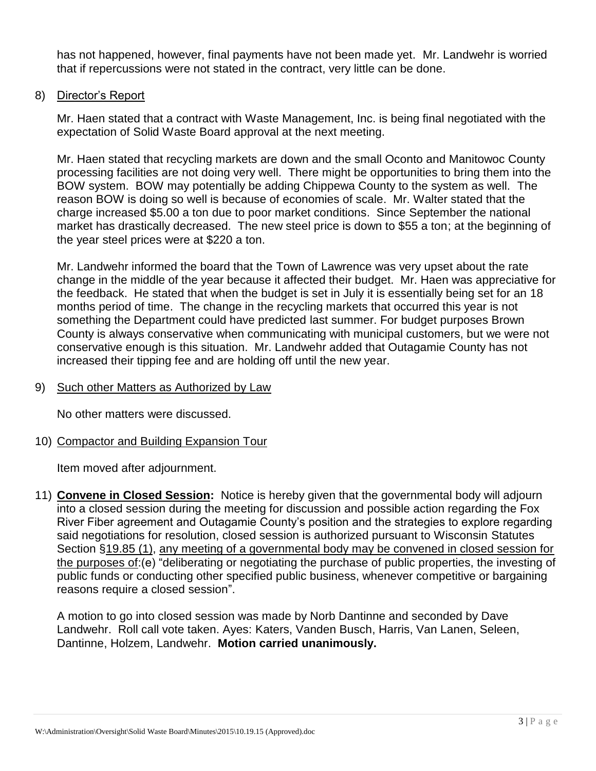has not happened, however, final payments have not been made yet. Mr. Landwehr is worried that if repercussions were not stated in the contract, very little can be done.

8) Director's Report

Mr. Haen stated that a contract with Waste Management, Inc. is being final negotiated with the expectation of Solid Waste Board approval at the next meeting.

Mr. Haen stated that recycling markets are down and the small Oconto and Manitowoc County processing facilities are not doing very well. There might be opportunities to bring them into the BOW system. BOW may potentially be adding Chippewa County to the system as well. The reason BOW is doing so well is because of economies of scale. Mr. Walter stated that the charge increased \$5.00 a ton due to poor market conditions. Since September the national market has drastically decreased. The new steel price is down to \$55 a ton; at the beginning of the year steel prices were at \$220 a ton.

Mr. Landwehr informed the board that the Town of Lawrence was very upset about the rate change in the middle of the year because it affected their budget. Mr. Haen was appreciative for the feedback. He stated that when the budget is set in July it is essentially being set for an 18 months period of time. The change in the recycling markets that occurred this year is not something the Department could have predicted last summer. For budget purposes Brown County is always conservative when communicating with municipal customers, but we were not conservative enough is this situation. Mr. Landwehr added that Outagamie County has not increased their tipping fee and are holding off until the new year.

9) Such other Matters as Authorized by Law

No other matters were discussed.

10) Compactor and Building Expansion Tour

Item moved after adjournment.

11) **Convene in Closed Session:** Notice is hereby given that the governmental body will adjourn into a closed session during the meeting for discussion and possible action regarding the Fox River Fiber agreement and Outagamie County's position and the strategies to explore regarding said negotiations for resolution, closed session is authorized pursuant to Wisconsin Statutes Section §19.85 (1), any meeting of a governmental body may be convened in closed session for the purposes of:(e) "deliberating or negotiating the purchase of public properties, the investing of public funds or conducting other specified public business, whenever competitive or bargaining reasons require a closed session".

A motion to go into closed session was made by Norb Dantinne and seconded by Dave Landwehr. Roll call vote taken. Ayes: Katers, Vanden Busch, Harris, Van Lanen, Seleen, Dantinne, Holzem, Landwehr. **Motion carried unanimously.**